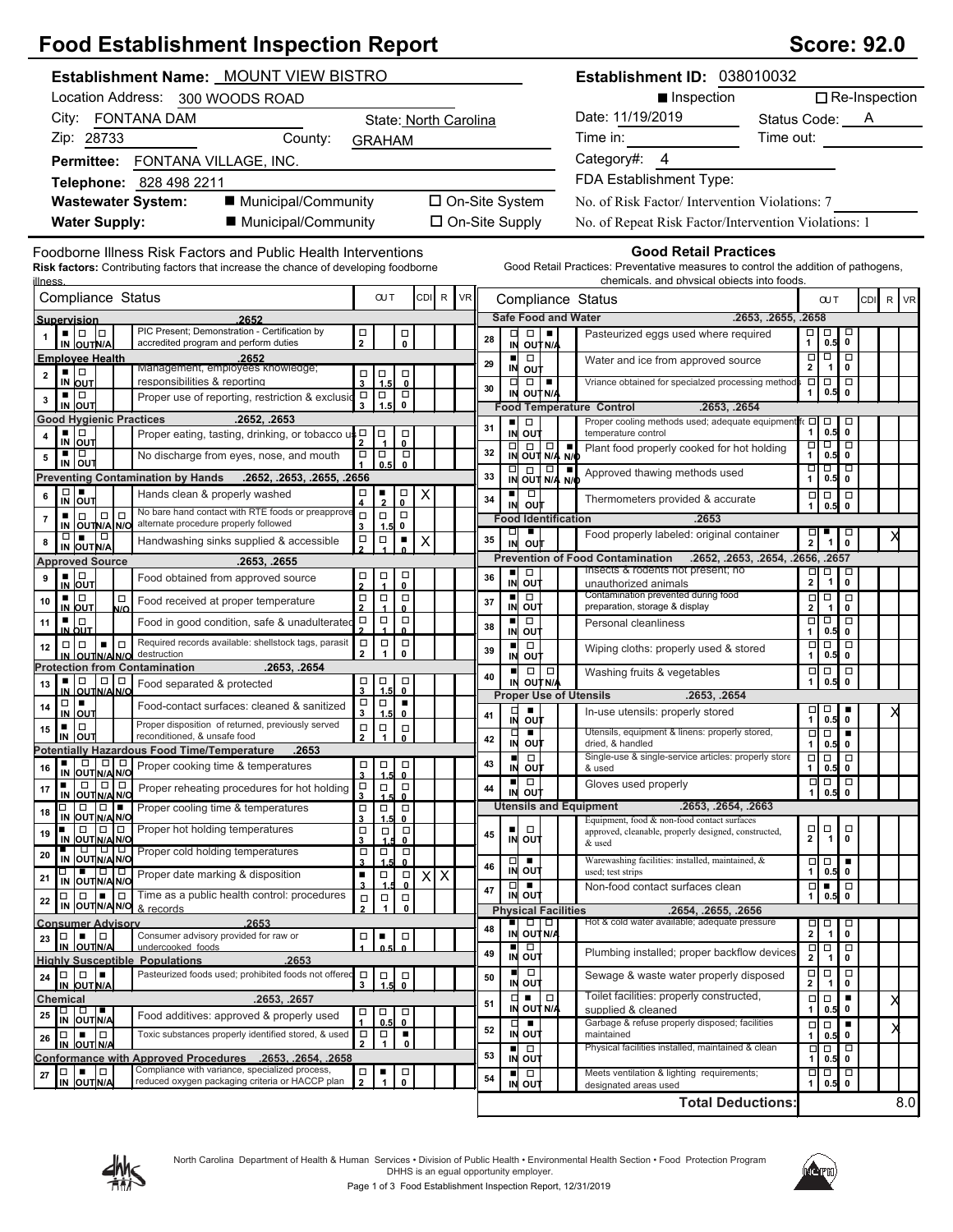# **Food Establishment Inspection Report Score: 92.0** Score: 92.0

| Establishment Name: MOUNT VIEW BISTRO                                                                                                                                  |                                                                                        |                        |                 |                       |    |                      |                                                                                                                                                                              | Establishment ID: 038010032 |                                                                                                                                                                   |                                   |                                                    |                                                                |          |  |
|------------------------------------------------------------------------------------------------------------------------------------------------------------------------|----------------------------------------------------------------------------------------|------------------------|-----------------|-----------------------|----|----------------------|------------------------------------------------------------------------------------------------------------------------------------------------------------------------------|-----------------------------|-------------------------------------------------------------------------------------------------------------------------------------------------------------------|-----------------------------------|----------------------------------------------------|----------------------------------------------------------------|----------|--|
| Location Address: 300 WOODS ROAD                                                                                                                                       |                                                                                        |                        |                 |                       |    |                      |                                                                                                                                                                              |                             | $\Box$ Re-Inspection<br>■ Inspection                                                                                                                              |                                   |                                                    |                                                                |          |  |
| City: FONTANA DAM<br>State: North Carolina                                                                                                                             |                                                                                        |                        |                 |                       |    |                      |                                                                                                                                                                              |                             | Date: 11/19/2019<br>Status Code: A                                                                                                                                |                                   |                                                    |                                                                |          |  |
| Zip: 28733<br>County:<br><b>GRAHAM</b>                                                                                                                                 |                                                                                        |                        |                 |                       |    | Time in:             |                                                                                                                                                                              |                             |                                                                                                                                                                   | Time out:                         |                                                    |                                                                |          |  |
| Permittee: FONTANA VILLAGE, INC.                                                                                                                                       |                                                                                        |                        |                 |                       |    |                      |                                                                                                                                                                              |                             | Category#: 4                                                                                                                                                      |                                   |                                                    |                                                                |          |  |
| Telephone: 828 498 2211                                                                                                                                                |                                                                                        |                        |                 |                       |    |                      |                                                                                                                                                                              |                             | FDA Establishment Type:                                                                                                                                           |                                   |                                                    |                                                                |          |  |
| ■ Municipal/Community<br><b>Wastewater System:</b>                                                                                                                     |                                                                                        |                        |                 |                       |    |                      | □ On-Site System                                                                                                                                                             |                             | No. of Risk Factor/ Intervention Violations: 7                                                                                                                    |                                   |                                                    |                                                                |          |  |
| ■ Municipal/Community<br><b>Water Supply:</b>                                                                                                                          |                                                                                        |                        |                 | $\Box$ On-Site Supply |    |                      |                                                                                                                                                                              |                             | No. of Repeat Risk Factor/Intervention Violations: 1                                                                                                              |                                   |                                                    |                                                                |          |  |
|                                                                                                                                                                        |                                                                                        |                        |                 |                       |    |                      |                                                                                                                                                                              |                             |                                                                                                                                                                   |                                   |                                                    |                                                                |          |  |
| Foodborne Illness Risk Factors and Public Health Interventions<br><b>Risk factors:</b> Contributing factors that increase the chance of developing foodborne<br>llness |                                                                                        |                        |                 |                       |    |                      |                                                                                                                                                                              |                             | <b>Good Retail Practices</b><br>Good Retail Practices: Preventative measures to control the addition of pathogens,<br>chemicals, and physical objects into foods. |                                   |                                                    |                                                                |          |  |
| Compliance Status                                                                                                                                                      | <b>OUT</b>                                                                             |                        | CDI R           | <b>VR</b>             |    |                      |                                                                                                                                                                              |                             | Compliance Status                                                                                                                                                 |                                   | <b>OUT</b>                                         |                                                                | CDI R VR |  |
| 2652<br>Supervision<br>PIC Present; Demonstration - Certification by                                                                                                   |                                                                                        |                        |                 |                       |    |                      | <b>Safe Food and Water</b>                                                                                                                                                   |                             |                                                                                                                                                                   | .2653, .2655, .2658               |                                                    |                                                                |          |  |
| $\blacksquare$ $\blacksquare$ $\blacksquare$<br>accredited program and perform duties<br>IN OUTN/A                                                                     | $\frac{\Box}{2}$                                                                       | $_\mathrm{o}^\square$  |                 |                       | 28 | 미<br>IN              | OUT N/A                                                                                                                                                                      |                             | Pasteurized eggs used where required                                                                                                                              |                                   | $\begin{array}{c} \square \\ 1 \end{array}$ 0.5    | ᄝ                                                              |          |  |
| <b>Emplovee Health</b><br>.2652<br>Management, employees knowledge;                                                                                                    |                                                                                        |                        |                 |                       | 29 | IN                   | $\Box$<br>out                                                                                                                                                                |                             | Water and ice from approved source                                                                                                                                | $\Box$<br>$\overline{2}$          | $\frac{1}{\sqrt{1}}$                               | $\overline{\Box}$<br>$\mathbf 0$                               |          |  |
| ▪ ▏□<br>$\mathbf{2}$<br>responsibilities & reporting<br>IN OUT                                                                                                         | $\vert_{\stackrel{1}{1.5}}$<br>П<br>$\overline{\mathbf{3}}$                            | <b>ㅁ</b>               |                 |                       | 30 | $\Box$               | $\Box$                                                                                                                                                                       |                             | Vriance obtained for specialzed processing method                                                                                                                 | Ξ                                 | $\overline{\blacksquare}$                          | $\overline{\Box}$                                              |          |  |
| ▪ ▏□<br>Proper use of reporting, restriction & exclusion<br>3<br>IN OUT                                                                                                | ∣□<br>$\Box$<br>1.5<br>$\mathbf{3}$                                                    | $_{\rm 0}^{\square}$   |                 |                       |    |                      | IN OUT N/A                                                                                                                                                                   |                             | <b>Food Temperature Control</b><br>.2653, .2654                                                                                                                   | 1                                 | 0.5                                                | $\mathbf 0$                                                    |          |  |
| <b>Good Hygienic Practices</b><br>.2652, .2653                                                                                                                         |                                                                                        |                        |                 |                       | 31 | ٠                    | $\Box$                                                                                                                                                                       |                             | Proper cooling methods used; adequate equipment fo                                                                                                                | $\Box$                            | $\overline{0.5}$                                   | $\Box$                                                         |          |  |
| ▪ ▏□<br>Proper eating, tasting, drinking, or tobacco us D<br>4<br>IN OUT                                                                                               | ∣□                                                                                     | □<br>0                 |                 |                       |    |                      | IN OUT<br>$\begin{array}{ c c c }\n\hline\n\Box & \Box & \Box & \Box \\ \hline\n\vdots & \ddots & \ddots & \ddots \\ \hline\n\vdots & \ddots & \ddots & \ddots\n\end{array}$ |                             | temperature control<br>Plant food properly cooked for hot holding                                                                                                 | 1<br>□                            | $\overline{\Box}$                                  | 0<br>$\overline{\blacksquare}$                                 |          |  |
| ▪ ▏□<br>No discharge from eyes, nose, and mouth<br>5<br>IN OUT                                                                                                         | $\frac{1}{1}$<br>∣□<br>0.5                                                             | $\Box$<br>$\mathbf{0}$ |                 |                       | 32 |                      |                                                                                                                                                                              |                             |                                                                                                                                                                   | 1                                 | 0.5<br>णण                                          | $\pmb{0}$<br>−□                                                |          |  |
| <b>Preventing Contamination by Hands</b><br>.2652, .2653, .2655, .2656                                                                                                 |                                                                                        |                        |                 |                       | 33 |                      | $\frac{1}{N}$ out $\frac{1}{N/4}$ $\frac{1}{N/6}$                                                                                                                            |                             | Approved thawing methods used                                                                                                                                     | 1                                 | 0.5                                                | 0                                                              |          |  |
| $\frac{D}{N}$ out<br>Hands clean & properly washed<br>6                                                                                                                | $\Box$<br>٠<br>$\overline{\mathbf{2}}$                                                 | σ<br>$\pmb{0}$         | Χ               |                       | 34 | IN                   | $\Box$<br>ουτ                                                                                                                                                                |                             | Thermometers provided & accurate                                                                                                                                  | $\Box$                            | $\Box$<br>0.5                                      | $\Box$<br>$\pmb{0}$                                            |          |  |
| No bare hand contact with RTE foods or preapprove<br>$\Box$<br>$\Box$<br>$\Box$<br>$\overline{7}$<br>alternate procedure properly followed<br>IN OUTN/A N/O            | $\Box$<br>$\Box$<br>3<br>1.5                                                           | $\Box$<br>0            |                 |                       |    |                      | <b>Food Identification</b>                                                                                                                                                   |                             | .2653                                                                                                                                                             |                                   |                                                    |                                                                |          |  |
| $\Box$<br>$\Box$<br>Handwashing sinks supplied & accessible<br>8<br>IN OUT N/A                                                                                         | $\Box$<br>$\Box$                                                                       | ٠                      | Χ               |                       | 35 | □<br>IN              | ٠<br>o∪t                                                                                                                                                                     |                             | Food properly labeled: original container                                                                                                                         | $\frac{\square}{2}$               | $\frac{1}{1}$                                      | ᄝ                                                              |          |  |
| <b>Approved Source</b><br>.2653, .2655                                                                                                                                 |                                                                                        |                        |                 |                       |    |                      |                                                                                                                                                                              |                             | <b>Prevention of Food Contamination</b>                                                                                                                           | .2652, .2653, .2654, .2656, .2657 |                                                    |                                                                |          |  |
| $\frac{1}{N}$ out<br>Food obtained from approved source<br>9                                                                                                           | $\frac{\Box}{4}$<br>口<br>2                                                             | о<br>$\mathbf{0}$      |                 |                       | 36 | ٠<br>IN              | $\Box$<br>out                                                                                                                                                                |                             | Insects & rodents not present; no<br>unauthorized animals                                                                                                         | $\frac{\Box}{2}$                  | $\begin{array}{c}\n\Box \\ \hline\n1\n\end{array}$ | $\overline{\mathsf{d}}$                                        |          |  |
| ▪ ▏□<br>$\Box$<br>Food received at proper temperature<br>10<br><b>IN OUT</b><br>N/O                                                                                    | $\Box$<br>$\Box$<br>$\overline{2}$                                                     | $\Box$<br>$\mathbf{0}$ |                 |                       | 37 | $\blacksquare$<br>IN | þ<br>out                                                                                                                                                                     |                             | Contamination prevented during food<br>preparation, storage & display                                                                                             | $\Box$<br>$\mathbf{2}$            | $\Box$<br>$\mathbf{1}$                             | $\Box$<br>$\mathbf 0$                                          |          |  |
| ▪ ▏□<br>Food in good condition, safe & unadulterated<br>11                                                                                                             | $\Box$<br>$\Box$                                                                       | □<br>0                 |                 |                       | 38 | ٠                    | $\Box$                                                                                                                                                                       |                             | Personal cleanliness                                                                                                                                              | $\Box$                            | Ξ                                                  | □                                                              |          |  |
| IN OUT<br>Required records available: shellstock tags, parasit<br>$\Box$<br>$\Box$<br>$\blacksquare$<br>12                                                             | $\Box$<br>$\Box$                                                                       | $\Box$                 |                 |                       |    | IN<br>п              | out<br>$\Box$                                                                                                                                                                |                             | Wiping cloths: properly used & stored                                                                                                                             | 1<br>$\Box$                       | 0.5<br>$\Box$                                      | $\mathbf 0$<br>$\Box$                                          |          |  |
| destruction<br>IN OUTNANO<br>.2653, .2654<br><b>Protection from Contamination</b>                                                                                      | $\mathbf{1}$<br>$\overline{2}$                                                         | 0                      |                 |                       | 39 | IN                   | ουτ                                                                                                                                                                          |                             |                                                                                                                                                                   |                                   | 0.5                                                | 0                                                              |          |  |
| ∎∣⊡<br>  0   0  <br>Food separated & protected<br>13                                                                                                                   | α<br>$\Box$<br>1.5<br>$\mathbf{3}$                                                     | $\Box$                 |                 |                       | 40 | $\blacksquare$<br>IN | $\Box   \Box  $<br><b>OUT N/A</b>                                                                                                                                            |                             | Washing fruits & vegetables                                                                                                                                       | $\Box$<br>1                       | 0.5                                                | $\Box$<br>$\mathbf 0$                                          |          |  |
| IN OUTNA N/C<br>$\Box$<br>Food-contact surfaces: cleaned & sanitized<br>14                                                                                             | $\Box$<br>$\Box$                                                                       | $\mathbf 0$<br>٠       |                 |                       |    |                      |                                                                                                                                                                              |                             | <b>Proper Use of Utensils</b><br>.2653, .2654                                                                                                                     |                                   | $\Box$                                             |                                                                |          |  |
| IN OUT<br>Proper disposition of returned, previously served<br>$\Box$<br>٠                                                                                             | 3<br>1.5<br>$\Box$<br>$\Box$                                                           | $\mathbf{0}$<br>$\Box$ |                 |                       | 41 | □<br>IN              | out                                                                                                                                                                          |                             | In-use utensils: properly stored                                                                                                                                  | □<br>1                            | 0.5                                                | $\mathbf 0$                                                    |          |  |
| 15<br>reconditioned, & unsafe food<br>IN OUT                                                                                                                           | $\overline{2}$<br>$\mathbf{1}$                                                         | $\mathbf{0}$           |                 |                       | 42 | □<br>IN              | ٠<br>ουτ                                                                                                                                                                     |                             | Utensils, equipment & linens: properly stored,<br>dried, & handled                                                                                                | $\Box$<br>1                       | $\overline{\Box}$<br>0.5                           | т<br>$\mathbf 0$                                               |          |  |
| <b>Potentially Hazardous Food Time/Temperature</b><br>.2653<br>Proper cooking time & temperatures                                                                      | $\Box$<br>$\Box$                                                                       | $\Box$                 |                 |                       | 43 | п                    | $\Box$<br>IN OUT                                                                                                                                                             |                             | Single-use & single-service articles: properly store<br>& used                                                                                                    | $\Box$                            | $\overline{\Box}$                                  | $\overline{\Box}$<br>$\mathbf 0$                               |          |  |
| IN OUT N/A N/O<br>$\Box$<br>$\Box$<br>٠<br>Proper reheating procedures for hot holding<br>17                                                                           | $\overline{\mathbf{3}}$<br>1.5<br>$\begin{array}{c}\n\Box \\ 3\n\end{array}$<br>$\Box$ | $\mathbf{0}$<br>$\Box$ |                 |                       | 44 | ٠                    | $\Box$                                                                                                                                                                       |                             | Gloves used properly                                                                                                                                              | $\frac{1}{1}$                     |                                                    | $\begin{array}{c} 1 \overline{0} \\ 0.5 \end{array}$<br>$\Box$ |          |  |
| OUTN/A N/O<br>IN<br>$\Box$<br>$\blacksquare$<br>Proper cooling time & temperatures<br>П                                                                                | $\Box$                                                                                 | $\Box$                 |                 |                       |    |                      | IN OUT                                                                                                                                                                       |                             | <b>Utensils and Equipment</b><br>.2653, .2654, .2663                                                                                                              |                                   |                                                    |                                                                |          |  |
| 18<br>IN OUT N/A N/O<br>$\Box$<br>Proper hot holding temperatures                                                                                                      | $\begin{array}{c}\n\Box \\ 3\n\end{array}$<br>1.5<br>$\Box$                            | $\mathbf{0}$<br>$\Box$ |                 |                       |    |                      | $\Box$                                                                                                                                                                       |                             | Equipment, food & non-food contact surfaces                                                                                                                       | $\Box$                            | $\Box$                                             | $\Box$                                                         |          |  |
| 19<br>IN OUT N/A N/O                                                                                                                                                   | $\Box$<br>3                                                                            | 0                      |                 |                       | 45 |                      | IN OUT                                                                                                                                                                       |                             | approved, cleanable, properly designed, constructed,<br>& used                                                                                                    | $\overline{\mathbf{2}}$           | $\overline{1}$                                     | $\mathbf 0$                                                    |          |  |
| IN OUTNANO<br>Proper cold holding temperatures<br>20                                                                                                                   | $\Box$<br>о<br>$\overline{\mathbf{3}}$                                                 | $_{\rm 0}^{\square}$   |                 |                       | 46 |                      | $\Box$                                                                                                                                                                       |                             | Warewashing facilities: installed, maintained, &                                                                                                                  | $\Box$                            |                                                    | $\begin{array}{c} 0.5 \\ 0.5 \end{array}$                      |          |  |
| 10 O O<br>Proper date marking & disposition<br>21<br>IN OUT N/A N/O                                                                                                    | ٠<br>Ο                                                                                 | $\Box$<br>$\mathbf{0}$ | $X\overline{X}$ |                       |    |                      | IN OUT<br>$\Box$ $\Box$                                                                                                                                                      |                             | used; test strips<br>Non-food contact surfaces clean                                                                                                              | 1<br>$\Box$                       | $\blacksquare$                                     | $\Box$                                                         |          |  |
| Time as a public health control: procedures<br>$\Box\Box\Box\blacksquare$<br>$\Box$<br>22<br>IN OUT N/A N/O & records                                                  | $\Box$<br>$\Box$<br>$\mathbf{2}$<br>$\mathbf{1}$                                       | $\Box$<br>0            |                 |                       | 47 |                      | IN OUT                                                                                                                                                                       |                             |                                                                                                                                                                   | 1                                 |                                                    | $0.5$ 0                                                        |          |  |
| <b>Consumer Advisory</b><br>.2653                                                                                                                                      |                                                                                        |                        |                 |                       | 48 |                      | <b>Physical Facilities</b><br><b>-</b> 0 0                                                                                                                                   |                             | .2654, .2655, .2656<br>Hot & cold water available; adequate pressure                                                                                              | $\Box$                            | □                                                  | $\Box$                                                         |          |  |
| Consumer advisory provided for raw or<br>l o<br>$\blacksquare$<br>$\Box$<br>23<br>IN OUTN/A<br>undercooked foods                                                       | $\Box$<br>п<br>0.5                                                                     | □                      |                 |                       |    | п                    | IN OUT N/A<br>Ξ                                                                                                                                                              |                             |                                                                                                                                                                   | 2 <sup>1</sup>                    | $\overline{1}$                                     | $\pmb{0}$<br>þ                                                 |          |  |
| <b>Highly Susceptible Populations</b><br>.2653                                                                                                                         |                                                                                        |                        |                 |                       | 49 |                      | IN OUT                                                                                                                                                                       |                             | Plumbing installed; proper backflow devices                                                                                                                       | $\overline{\mathbf{r}}$           | $\begin{array}{c}\n\Box \\ 1\n\end{array}$         | $\pmb{0}$                                                      |          |  |
| Pasteurized foods used; prohibited foods not offered<br>$\Box$<br>∣∎.<br>$\Box$<br>24<br>IN OUT N/A                                                                    | $\Box$<br>$\Box$<br>1.5<br>3                                                           | 口<br>0                 |                 |                       | 50 |                      | . .<br>IN OUT                                                                                                                                                                |                             | Sewage & waste water properly disposed                                                                                                                            | $\frac{\Box}{2}$                  | $\overline{q}$<br>1                                | $\Box$<br>0                                                    |          |  |
| .2653, .2657<br>Chemical                                                                                                                                               |                                                                                        |                        |                 |                       | 51 | ㅁ                    | $\Box$<br>$\blacksquare$<br>IN OUT N/A                                                                                                                                       |                             | Toilet facilities: properly constructed,                                                                                                                          | □<br>1                            | $\Box$<br>0.5                                      | $\blacksquare$<br>0                                            |          |  |
| □ □ ■<br>IN OUTN/A<br>25<br>Food additives: approved & properly used                                                                                                   | $\Box$<br>о<br>0.5                                                                     | $\Box$<br>0            |                 |                       |    |                      | $\Box$                                                                                                                                                                       |                             | supplied & cleaned<br>Garbage & refuse properly disposed; facilities                                                                                              | $\Box$                            | $\Box$                                             | ٠                                                              |          |  |
| Toxic substances properly identified stored, & used<br>$\Box \quad \blacksquare \quad \Box$<br>26<br>IN OUT N/A                                                        | $\Box$<br>$\frac{\Box}{1}$<br>$\overline{2}$                                           | ٠<br>$\mathbf 0$       |                 |                       | 52 | IN<br>$\blacksquare$ | out<br>$\Box$                                                                                                                                                                |                             | maintained<br>Physical facilities installed, maintained & clean                                                                                                   | 1<br>$\Box$                       | 0.5<br>$\Box$                                      | 0<br>$\Box$                                                    |          |  |
| Conformance with Approved Procedures .2653. .2654. .2658                                                                                                               |                                                                                        |                        |                 |                       | 53 |                      | IN OUT                                                                                                                                                                       |                             |                                                                                                                                                                   | $\mathbf{1}$                      | 0.5                                                | $\mathbf 0$                                                    |          |  |
| Compliance with variance, specialized process,<br><b>10 - 10</b><br>$\mathbf{27}$<br>reduced oxygen packaging criteria or HACCP plan<br>IN OUTN/A                      | $\Box$<br>п<br>$\overline{2}$                                                          | о<br>$\mathbf{0}$      |                 |                       | 54 |                      | $\Box$<br>IN OUT                                                                                                                                                             |                             | Meets ventilation & lighting requirements;<br>designated areas used                                                                                               | □<br>$\mathbf{1}$                 | $\Box$<br>0.5                                      | þ<br>$\pmb{0}$                                                 |          |  |



designated areas used



**Total Deductions:**

8.0

Page 1 of 3 Food Establishment Inspection Report, 12/31/2019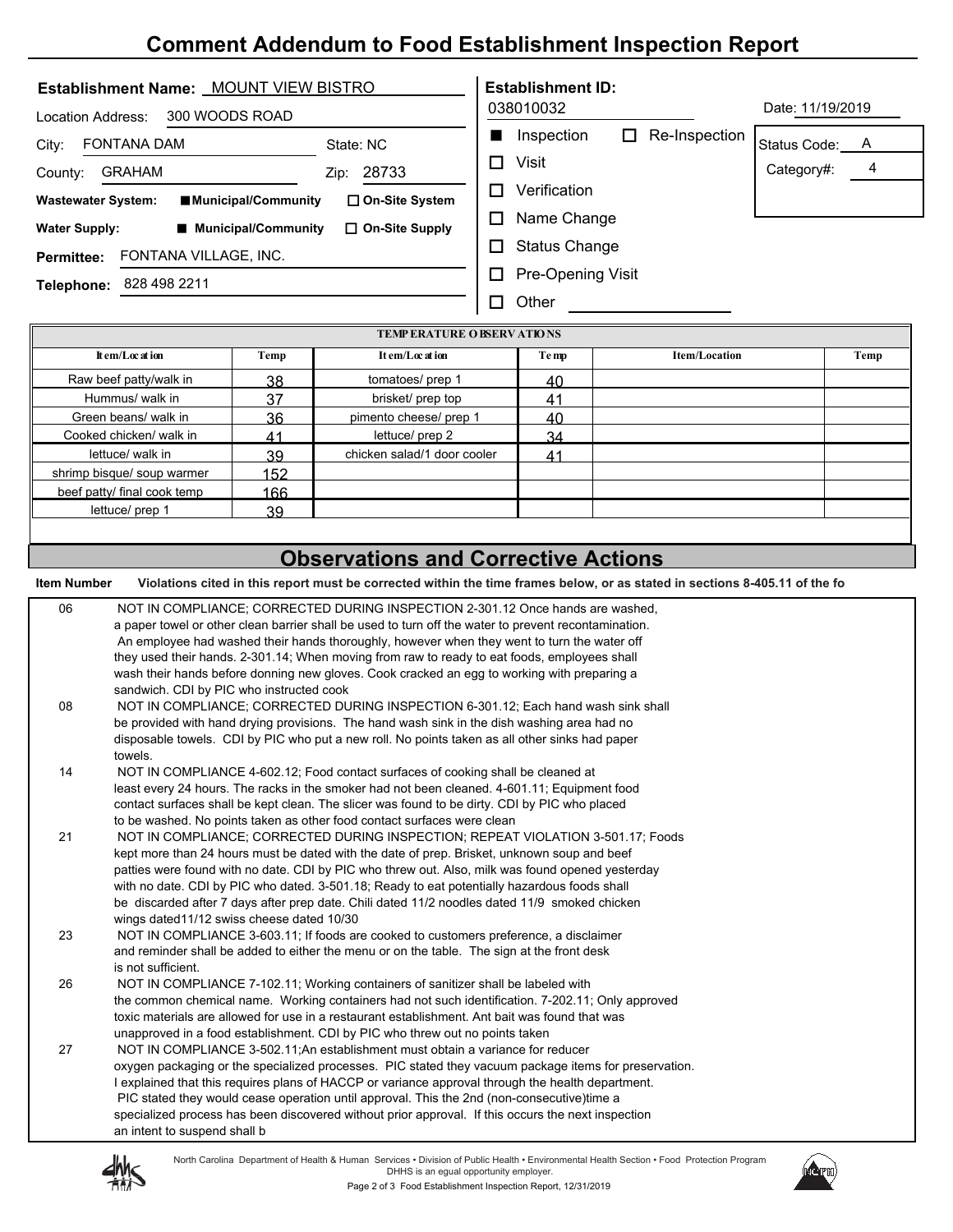## **Comment Addendum to Food Establishment Inspection Report**

| Establishment Name: MOUNT VIEW BISTRO             | <b>Establishment ID:</b>                            |
|---------------------------------------------------|-----------------------------------------------------|
| 300 WOODS ROAD<br>Location Address:               | Date: 11/19/2019<br>038010032                       |
| FONTANA DAM<br>City:<br>State: NC                 | Inspection<br>Re-Inspection<br>LΙ<br>Status Code: A |
| <b>GRAHAM</b><br>County:<br>Zip:                  | Visit<br>П<br>Category#:<br>4<br>28733              |
| <b>Wastewater System:</b><br>■Municipal/Community | Verification<br>П<br>$\Box$ On-Site System          |
| ■ Municipal/Community<br><b>Water Supply:</b>     | Name Change<br>П<br>□ On-Site Supply                |
| FONTANA VILLAGE, INC.<br><b>Permittee:</b>        | <b>Status Change</b><br>П                           |
| 828 498 2211<br>Telephone:                        | Pre-Opening Visit<br>LΙ                             |
|                                                   | Other<br>$\sim$                                     |

| <b>TEMP ERATURE O BSERV ATIONS</b> |      |                             |       |                      |      |  |
|------------------------------------|------|-----------------------------|-------|----------------------|------|--|
| It em/Loc at ion                   | Temp | It em/Loc at ion            | Te mp | <b>Item/Location</b> | Temp |  |
| Raw beef patty/walk in             | 38   | tomatoes/ prep 1            | 40    |                      |      |  |
| Hummus/ walk in                    | 37   | brisket/ prep top           | 41    |                      |      |  |
| Green beans/ walk in               | 36   | pimento cheese/ prep 1      | 40    |                      |      |  |
| Cooked chicken/ walk in            | 41   | lettuce/ prep 2             | 34    |                      |      |  |
| lettuce/ walk in                   | 39   | chicken salad/1 door cooler | 41    |                      |      |  |
| shrimp bisque/ soup warmer         | 152  |                             |       |                      |      |  |
| beef patty/ final cook temp        | 166  |                             |       |                      |      |  |
| lettuce/ prep 1                    | 39   |                             |       |                      |      |  |
|                                    |      |                             |       |                      |      |  |

## **Observations and Corrective Actions**

 **Item Number Violations cited in this report must be corrected within the time frames below, or as stated in sections 8-405.11 of the fo**

| 06 | NOT IN COMPLIANCE: CORRECTED DURING INSPECTION 2-301.12 Once hands are washed.                        |
|----|-------------------------------------------------------------------------------------------------------|
|    | a paper towel or other clean barrier shall be used to turn off the water to prevent recontamination.  |
|    | An employee had washed their hands thoroughly, however when they went to turn the water off           |
|    | they used their hands. 2-301.14; When moving from raw to ready to eat foods, employees shall          |
|    | wash their hands before donning new gloves. Cook cracked an egg to working with preparing a           |
|    | sandwich. CDI by PIC who instructed cook                                                              |
| 08 | NOT IN COMPLIANCE; CORRECTED DURING INSPECTION 6-301.12; Each hand wash sink shall                    |
|    | be provided with hand drying provisions. The hand wash sink in the dish washing area had no           |
|    | disposable towels. CDI by PIC who put a new roll. No points taken as all other sinks had paper        |
|    | towels.                                                                                               |
| 14 | NOT IN COMPLIANCE 4-602.12; Food contact surfaces of cooking shall be cleaned at                      |
|    | least every 24 hours. The racks in the smoker had not been cleaned. 4-601.11; Equipment food          |
|    | contact surfaces shall be kept clean. The slicer was found to be dirty. CDI by PIC who placed         |
|    | to be washed. No points taken as other food contact surfaces were clean                               |
| 21 | NOT IN COMPLIANCE; CORRECTED DURING INSPECTION; REPEAT VIOLATION 3-501.17; Foods                      |
|    | kept more than 24 hours must be dated with the date of prep. Brisket, unknown soup and beef           |
|    | patties were found with no date. CDI by PIC who threw out. Also, milk was found opened yesterday      |
|    | with no date. CDI by PIC who dated. 3-501.18; Ready to eat potentially hazardous foods shall          |
|    | be discarded after 7 days after prep date. Chili dated 11/2 noodles dated 11/9 smoked chicken         |
|    | wings dated 11/12 swiss cheese dated 10/30                                                            |
| 23 | NOT IN COMPLIANCE 3-603.11; If foods are cooked to customers preference, a disclaimer                 |
|    | and reminder shall be added to either the menu or on the table. The sign at the front desk            |
|    | is not sufficient.                                                                                    |
| 26 | NOT IN COMPLIANCE 7-102.11; Working containers of sanitizer shall be labeled with                     |
|    | the common chemical name. Working containers had not such identification. 7-202.11; Only approved     |
|    | toxic materials are allowed for use in a restaurant establishment. Ant bait was found that was        |
|    | unapproved in a food establishment. CDI by PIC who threw out no points taken                          |
| 27 | NOT IN COMPLIANCE 3-502.11: An establishment must obtain a variance for reducer                       |
|    | oxygen packaging or the specialized processes. PIC stated they vacuum package items for preservation. |
|    | I explained that this requires plans of HACCP or variance approval through the health department.     |
|    | PIC stated they would cease operation until approval. This the 2nd (non-consecutive)time a            |
|    | specialized process has been discovered without prior approval. If this occurs the next inspection    |
|    | an intent to suspend shall b                                                                          |
|    |                                                                                                       |